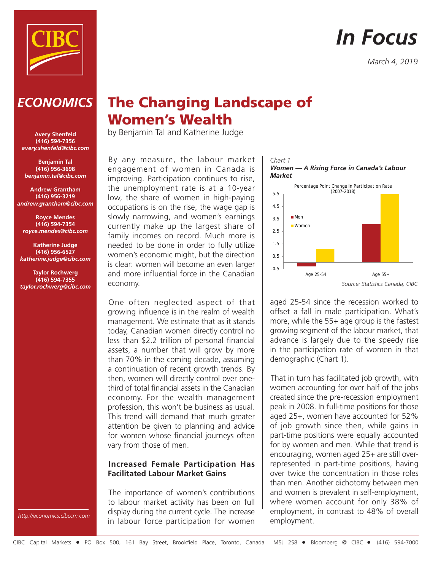

# *In Focus*

*March 4, 2019*

# *ECONOMICS*

**Avery Shenfeld (416) 594-7356** *avery.shenfeld@cibc.com*

**Benjamin Tal (416) 956-3698** *benjamin.tal@cibc.com*

**Andrew Grantham (416) 956-3219** *andrew.grantham@cibc.com*

**Royce Mendes (416) 594-7354** *royce.mendes@cibc.com*

**Katherine Judge (416) 956-6527** *katherine.judge@cibc.com*

**Taylor Rochwerg (416) 594-7355** *taylor.rochwerg@cibc.com*

# **The Changing Landscape of Women's Wealth**

by Benjamin Tal and Katherine Judge

By any measure, the labour market engagement of women in Canada is improving. Participation continues to rise, the unemployment rate is at a 10-year low, the share of women in high-paying occupations is on the rise, the wage gap is slowly narrowing, and women's earnings currently make up the largest share of family incomes on record. Much more is needed to be done in order to fully utilize women's economic might, but the direction is clear: women will become an even larger and more influential force in the Canadian economy.

One often neglected aspect of that growing influence is in the realm of wealth management. We estimate that as it stands today, Canadian women directly control no less than \$2.2 trillion of personal financial assets, a number that will grow by more than 70% in the coming decade, assuming a continuation of recent growth trends. By then, women will directly control over onethird of total financial assets in the Canadian economy. For the wealth management profession, this won't be business as usual. This trend will demand that much greater attention be given to planning and advice for women whose financial journeys often vary from those of men.

## **Increased Female Participation Has Facilitated Labour Market Gains**

The importance of women's contributions to labour market activity has been on full display during the current cycle. The increase in labour force participation for women



aged 25-54 since the recession worked to offset a fall in male participation. What's more, while the 55+ age group is the fastest growing segment of the labour market, that advance is largely due to the speedy rise in the participation rate of women in that demographic (Chart 1).

That in turn has facilitated job growth, with women accounting for over half of the jobs created since the pre-recession employment peak in 2008. In full-time positions for those aged 25+, women have accounted for 52% of job growth since then, while gains in part-time positions were equally accounted for by women and men. While that trend is encouraging, women aged 25+ are still overrepresented in part-time positions, having over twice the concentration in those roles than men. Another dichotomy between men and women is prevalent in self-employment, where women account for only 38% of employment, in contrast to 48% of overall employment.

*http://economics.cibccm.com*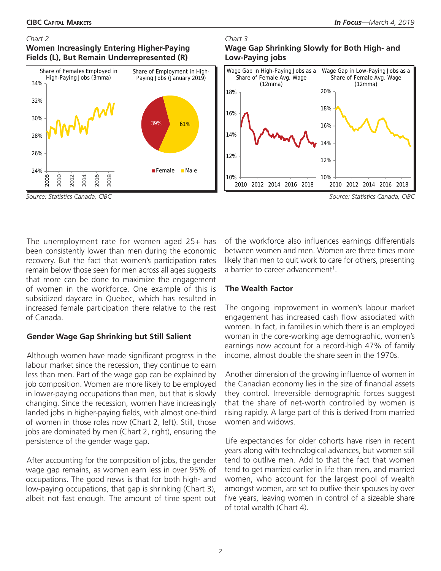#### *Chart 2*

**Women Increasingly Entering Higher-Paying Fields (L), But Remain Underrepresented (R)**



**Wage Gap Shrinking Slowly for Both High- and Low-Paying jobs**



*Source: Statistics Canada, CIBC Source: Statistics Canada, CIBC*

The unemployment rate for women aged 25+ has been consistently lower than men during the economic recovery. But the fact that women's participation rates remain below those seen for men across all ages suggests that more can be done to maximize the engagement of women in the workforce. One example of this is subsidized daycare in Quebec, which has resulted in increased female participation there relative to the rest of Canada.

### **Gender Wage Gap Shrinking but Still Salient**

Although women have made significant progress in the labour market since the recession, they continue to earn less than men. Part of the wage gap can be explained by job composition. Women are more likely to be employed in lower-paying occupations than men, but that is slowly changing. Since the recession, women have increasingly landed jobs in higher-paying fields, with almost one-third of women in those roles now (Chart 2, left). Still, those jobs are dominated by men (Chart 2, right), ensuring the persistence of the gender wage gap.

After accounting for the composition of jobs, the gender wage gap remains, as women earn less in over 95% of occupations. The good news is that for both high- and low-paying occupations, that gap is shrinking (Chart 3), albeit not fast enough. The amount of time spent out of the workforce also influences earnings differentials between women and men. Women are three times more likely than men to quit work to care for others, presenting a barrier to career advancement<sup>1</sup>.

### **The Wealth Factor**

*Chart 3*

The ongoing improvement in women's labour market engagement has increased cash flow associated with women. In fact, in families in which there is an employed woman in the core-working age demographic, women's earnings now account for a record-high 47% of family income, almost double the share seen in the 1970s.

Another dimension of the growing influence of women in the Canadian economy lies in the size of financial assets they control. Irreversible demographic forces suggest that the share of net-worth controlled by women is rising rapidly. A large part of this is derived from married women and widows.

Life expectancies for older cohorts have risen in recent years along with technological advances, but women still tend to outlive men. Add to that the fact that women tend to get married earlier in life than men, and married women, who account for the largest pool of wealth amongst women, are set to outlive their spouses by over five years, leaving women in control of a sizeable share of total wealth (Chart 4).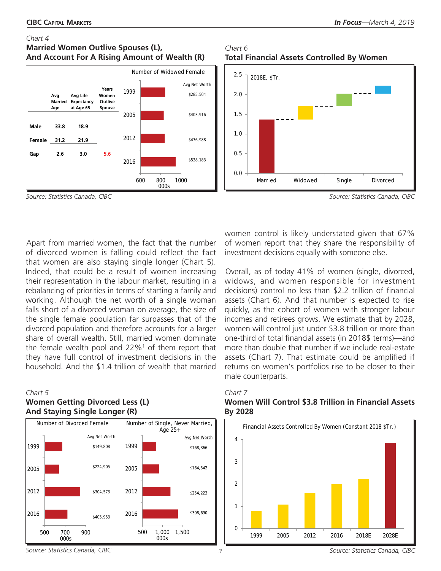#### *Chart 4*

## **Married Women Outlive Spouses (L), And Account For A Rising Amount of Wealth (R)**



*Chart 6* **Total Financial Assets Controlled By Women**



*Source: Statistics Canada, CIBC Source: Statistics Canada, CIBC*

Apart from married women, the fact that the number of divorced women is falling could reflect the fact that women are also staying single longer (Chart 5). Indeed, that could be a result of women increasing their representation in the labour market, resulting in a rebalancing of priorities in terms of starting a family and working. Although the net worth of a single woman falls short of a divorced woman on average, the size of the single female population far surpasses that of the divorced population and therefore accounts for a larger share of overall wealth. Still, married women dominate the female wealth pool and  $22\%$ <sup>1</sup> of them report that they have full control of investment decisions in the household. And the \$1.4 trillion of wealth that married

#### *Chart 5*

# **Women Getting Divorced Less (L) And Staying Single Longer (R)**



women control is likely understated given that 67% of women report that they share the responsibility of investment decisions equally with someone else.

Overall, as of today 41% of women (single, divorced, widows, and women responsible for investment decisions) control no less than \$2.2 trillion of financial assets (Chart 6). And that number is expected to rise quickly, as the cohort of women with stronger labour incomes and retirees grows. We estimate that by 2028, women will control just under \$3.8 trillion or more than one-third of total financial assets (in 2018\$ terms)—and more than double that number if we include real-estate assets (Chart 7). That estimate could be amplified if returns on women's portfolios rise to be closer to their male counterparts.



# *Chart 7* **Women Will Control \$3.8 Trillion in Financial Assets**

*Source: Statistics Canada, CIBC Source: Statistics Canada, CIBC*

*3*